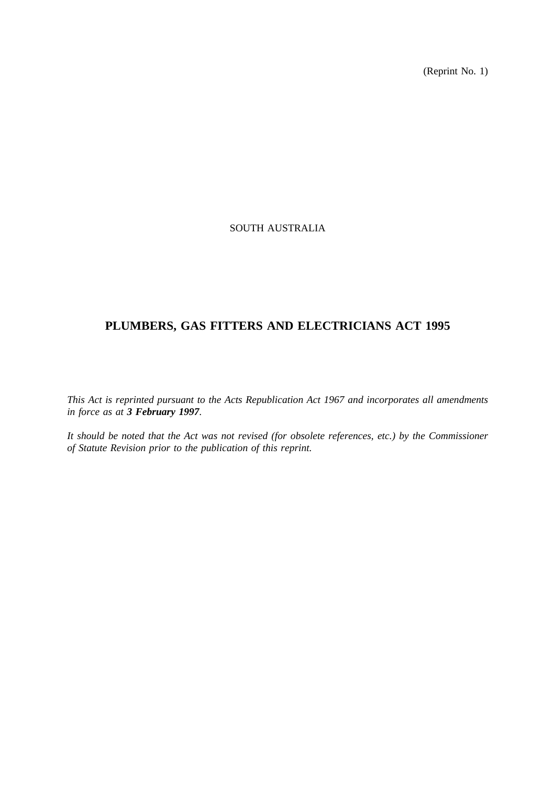(Reprint No. 1)

## SOUTH AUSTRALIA

# **PLUMBERS, GAS FITTERS AND ELECTRICIANS ACT 1995**

*This Act is reprinted pursuant to the Acts Republication Act 1967 and incorporates all amendments in force as at 3 February 1997.*

*It should be noted that the Act was not revised (for obsolete references, etc.) by the Commissioner of Statute Revision prior to the publication of this reprint.*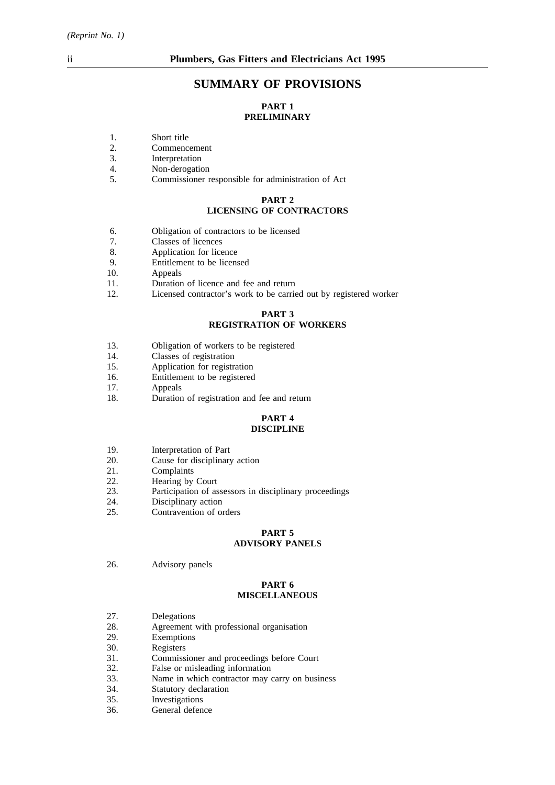## **SUMMARY OF PROVISIONS**

## **PART 1 PRELIMINARY**

- 1. Short title<br>2. Commence
- 2. Commencement<br>3. Interpretation
- 3. Interpretation<br>4. Non-derogation
- Non-derogation
- 5. Commissioner responsible for administration of Act

#### **PART 2 LICENSING OF CONTRACTORS**

- 6. Obligation of contractors to be licensed
- 7. Classes of licences<br>8. Application for lice
- Application for licence
- 9. Entitlement to be licensed
- 10. Appeals
- 11. Duration of licence and fee and return
- 12. Licensed contractor's work to be carried out by registered worker

#### **PART 3 REGISTRATION OF WORKERS**

- 13. Obligation of workers to be registered
- 14. Classes of registration
- 15. Application for registration
- 16. Entitlement to be registered
- 17. Appeals
- 18. Duration of registration and fee and return

#### **PART 4 DISCIPLINE**

- 19. Interpretation of Part
- 20. Cause for disciplinary action
- 21. Complaints
- 22. Hearing by Court<br>23. Participation of as
- Participation of assessors in disciplinary proceedings
- 24. Disciplinary action
- 25. Contravention of orders

# **PART 5**

## **ADVISORY PANELS**

26. Advisory panels

#### **PART 6 MISCELLANEOUS**

- 27. Delegations
- 28. Agreement with professional organisation<br>29. Exemptions
- Exemptions
- 30. Registers
- 31. Commissioner and proceedings before Court<br>32. False or misleading information
- 32. False or misleading information<br>33. Name in which contractor may
- 33. Name in which contractor may carry on business 34. Statutory declaration
- 34. Statutory declaration<br>35. Investigations
- 35. Investigations<br>36. General defen
- General defence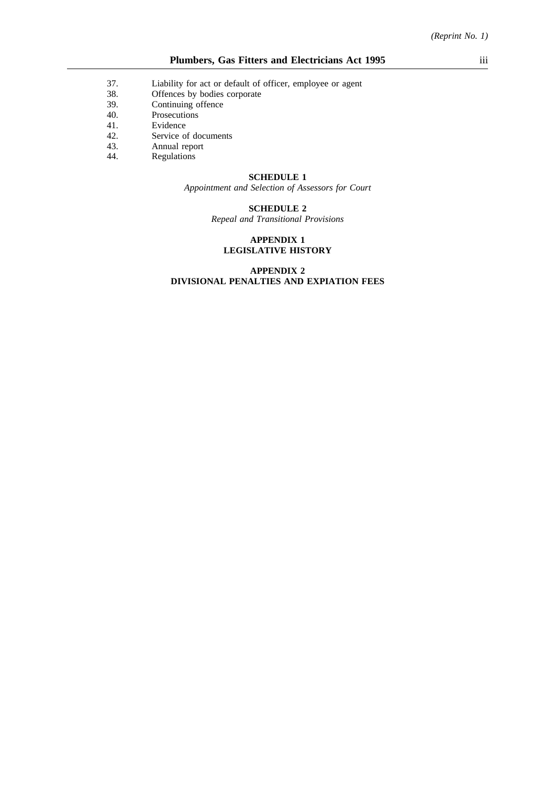- 37. Liability for act or default of officer, employee or agent 38. Offences by bodies corporate
- Offences by bodies corporate
- 39. Continuing offence
- 40. Prosecutions
- 41. Evidence
- 42. Service of documents
- 43. Annual report<br>44. Regulations
- Regulations

#### **SCHEDULE 1**

*Appointment and Selection of Assessors for Court*

### **SCHEDULE 2**

*Repeal and Transitional Provisions*

#### **APPENDIX 1 LEGISLATIVE HISTORY**

### **APPENDIX 2 DIVISIONAL PENALTIES AND EXPIATION FEES**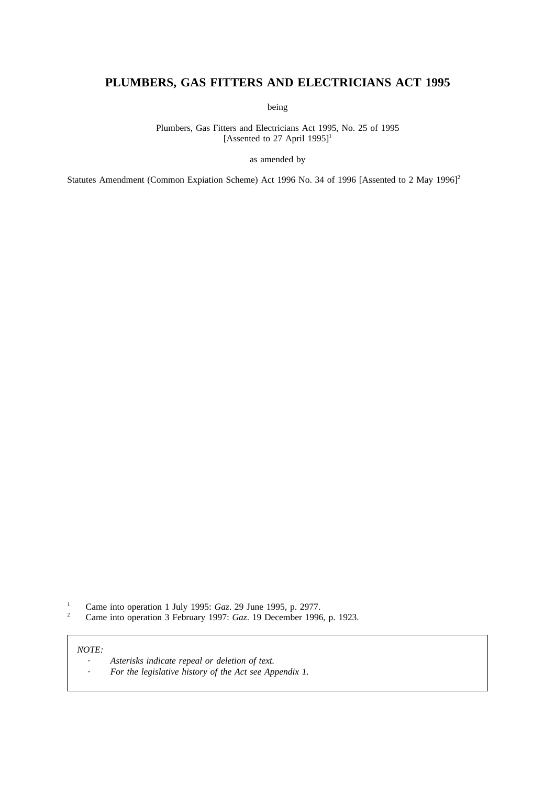# **PLUMBERS, GAS FITTERS AND ELECTRICIANS ACT 1995**

being

Plumbers, Gas Fitters and Electricians Act 1995, No. 25 of 1995 [Assented to 27 April  $1995$ ]<sup>1</sup>

as amended by

Statutes Amendment (Common Expiation Scheme) Act 1996 No. 34 of 1996 [Assented to 2 May 1996]<sup>2</sup>

<sup>1</sup> Came into operation 1 July 1995: *Gaz.* 29 June 1995, p. 2977.<br><sup>2</sup> Came into operation 3 February 1997: *Gaz* 19 December 1996

<sup>2</sup> Came into operation 3 February 1997: *Gaz*. 19 December 1996, p. 1923.

#### *NOTE:*

*Asterisks indicate repeal or deletion of text.*  $\cdot$  $\ddot{\phantom{a}}$ *For the legislative history of the Act see Appendix 1.*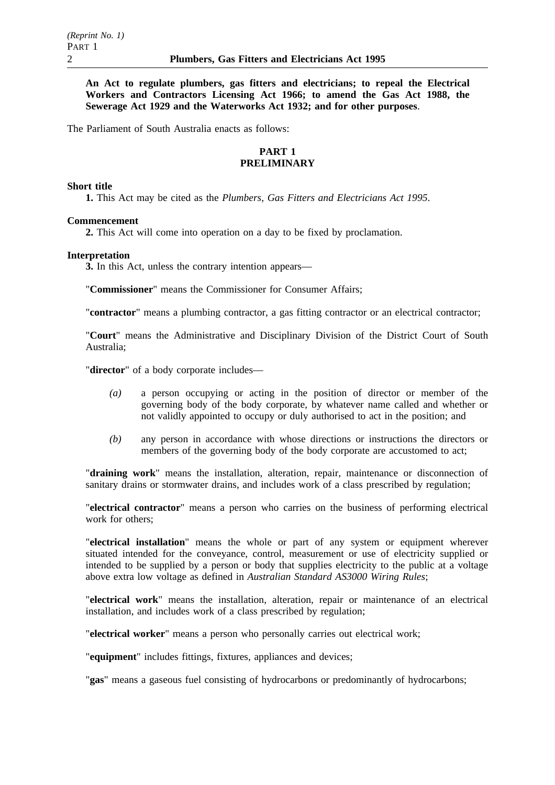**An Act to regulate plumbers, gas fitters and electricians; to repeal the Electrical Workers and Contractors Licensing Act 1966; to amend the Gas Act 1988, the Sewerage Act 1929 and the Waterworks Act 1932; and for other purposes**.

The Parliament of South Australia enacts as follows:

### **PART 1 PRELIMINARY**

#### **Short title**

**1.** This Act may be cited as the *Plumbers, Gas Fitters and Electricians Act 1995*.

## **Commencement**

**2.** This Act will come into operation on a day to be fixed by proclamation.

#### **Interpretation**

**3.** In this Act, unless the contrary intention appears—

"**Commissioner**" means the Commissioner for Consumer Affairs;

"**contractor**" means a plumbing contractor, a gas fitting contractor or an electrical contractor;

"**Court**" means the Administrative and Disciplinary Division of the District Court of South Australia;

"**director**" of a body corporate includes—

- *(a)* a person occupying or acting in the position of director or member of the governing body of the body corporate, by whatever name called and whether or not validly appointed to occupy or duly authorised to act in the position; and
- *(b)* any person in accordance with whose directions or instructions the directors or members of the governing body of the body corporate are accustomed to act;

"**draining work**" means the installation, alteration, repair, maintenance or disconnection of sanitary drains or stormwater drains, and includes work of a class prescribed by regulation;

"**electrical contractor**" means a person who carries on the business of performing electrical work for others;

"**electrical installation**" means the whole or part of any system or equipment wherever situated intended for the conveyance, control, measurement or use of electricity supplied or intended to be supplied by a person or body that supplies electricity to the public at a voltage above extra low voltage as defined in *Australian Standard AS3000 Wiring Rules*;

"**electrical work**" means the installation, alteration, repair or maintenance of an electrical installation, and includes work of a class prescribed by regulation;

"**electrical worker**" means a person who personally carries out electrical work;

"**equipment**" includes fittings, fixtures, appliances and devices;

"**gas**" means a gaseous fuel consisting of hydrocarbons or predominantly of hydrocarbons;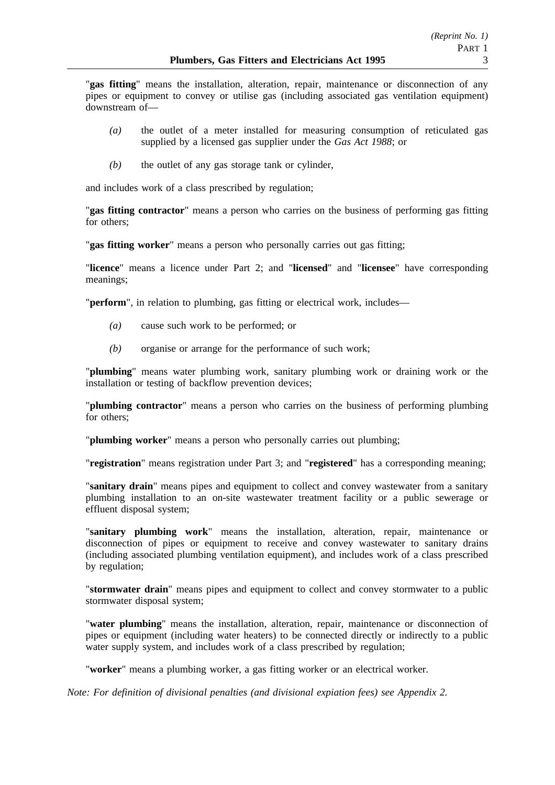"**gas fitting**" means the installation, alteration, repair, maintenance or disconnection of any pipes or equipment to convey or utilise gas (including associated gas ventilation equipment) downstream of—

- *(a)* the outlet of a meter installed for measuring consumption of reticulated gas supplied by a licensed gas supplier under the *Gas Act 1988*; or
- *(b)* the outlet of any gas storage tank or cylinder,

and includes work of a class prescribed by regulation;

"**gas fitting contractor**" means a person who carries on the business of performing gas fitting for others;

"**gas fitting worker**" means a person who personally carries out gas fitting;

"**licence**" means a licence under Part 2; and "**licensed**" and "**licensee**" have corresponding meanings;

"**perform**", in relation to plumbing, gas fitting or electrical work, includes—

- *(a)* cause such work to be performed; or
- *(b)* organise or arrange for the performance of such work;

"**plumbing**" means water plumbing work, sanitary plumbing work or draining work or the installation or testing of backflow prevention devices;

"**plumbing contractor**" means a person who carries on the business of performing plumbing for others;

"**plumbing worker**" means a person who personally carries out plumbing;

"**registration**" means registration under Part 3; and "**registered**" has a corresponding meaning;

"**sanitary drain**" means pipes and equipment to collect and convey wastewater from a sanitary plumbing installation to an on-site wastewater treatment facility or a public sewerage or effluent disposal system;

"**sanitary plumbing work**" means the installation, alteration, repair, maintenance or disconnection of pipes or equipment to receive and convey wastewater to sanitary drains (including associated plumbing ventilation equipment), and includes work of a class prescribed by regulation;

"**stormwater drain**" means pipes and equipment to collect and convey stormwater to a public stormwater disposal system;

"**water plumbing**" means the installation, alteration, repair, maintenance or disconnection of pipes or equipment (including water heaters) to be connected directly or indirectly to a public water supply system, and includes work of a class prescribed by regulation;

"**worker**" means a plumbing worker, a gas fitting worker or an electrical worker.

*Note: For definition of divisional penalties (and divisional expiation fees) see Appendix 2.*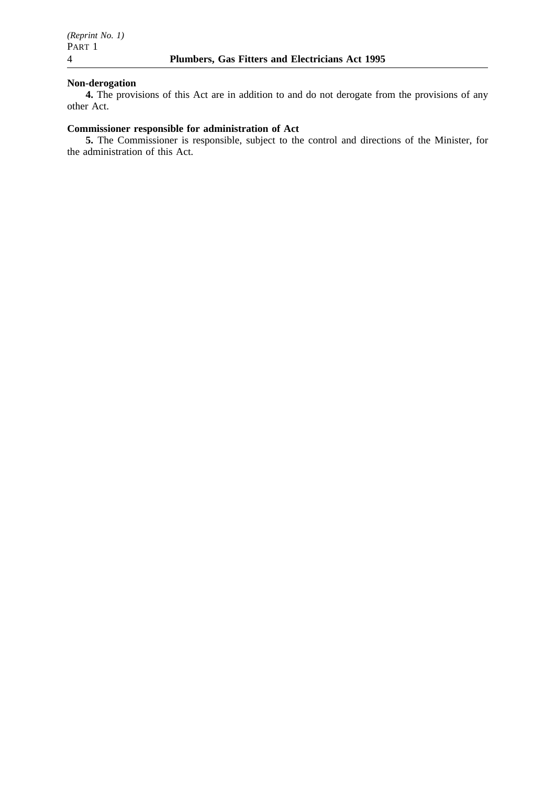### **Non-derogation**

**4.** The provisions of this Act are in addition to and do not derogate from the provisions of any other Act.

## **Commissioner responsible for administration of Act**

**5.** The Commissioner is responsible, subject to the control and directions of the Minister, for the administration of this Act.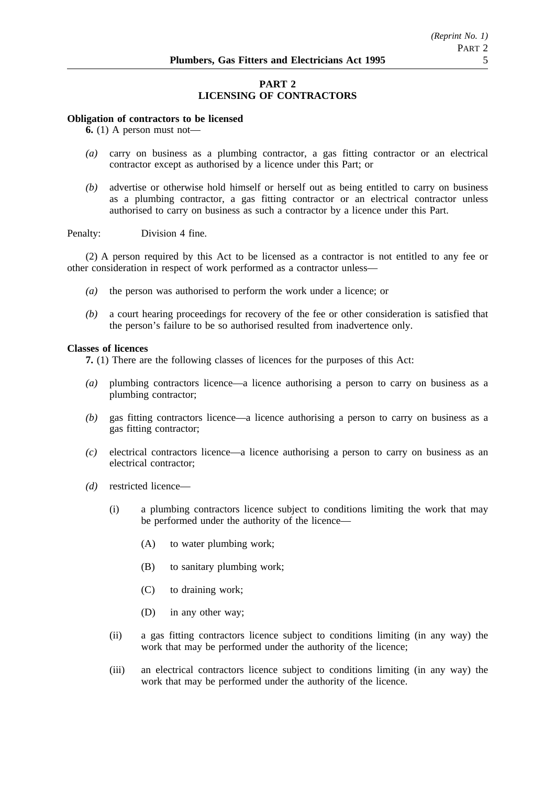## **PART 2 LICENSING OF CONTRACTORS**

#### **Obligation of contractors to be licensed**

**6.** (1) A person must not—

- *(a)* carry on business as a plumbing contractor, a gas fitting contractor or an electrical contractor except as authorised by a licence under this Part; or
- *(b)* advertise or otherwise hold himself or herself out as being entitled to carry on business as a plumbing contractor, a gas fitting contractor or an electrical contractor unless authorised to carry on business as such a contractor by a licence under this Part.

Penalty: Division 4 fine.

(2) A person required by this Act to be licensed as a contractor is not entitled to any fee or other consideration in respect of work performed as a contractor unless—

- *(a)* the person was authorised to perform the work under a licence; or
- *(b)* a court hearing proceedings for recovery of the fee or other consideration is satisfied that the person's failure to be so authorised resulted from inadvertence only.

#### **Classes of licences**

**7.** (1) There are the following classes of licences for the purposes of this Act:

- *(a)* plumbing contractors licence—a licence authorising a person to carry on business as a plumbing contractor;
- *(b)* gas fitting contractors licence—a licence authorising a person to carry on business as a gas fitting contractor;
- *(c)* electrical contractors licence—a licence authorising a person to carry on business as an electrical contractor;
- *(d)* restricted licence—
	- (i) a plumbing contractors licence subject to conditions limiting the work that may be performed under the authority of the licence—
		- (A) to water plumbing work;
		- (B) to sanitary plumbing work;
		- (C) to draining work;
		- (D) in any other way;
	- (ii) a gas fitting contractors licence subject to conditions limiting (in any way) the work that may be performed under the authority of the licence;
	- (iii) an electrical contractors licence subject to conditions limiting (in any way) the work that may be performed under the authority of the licence.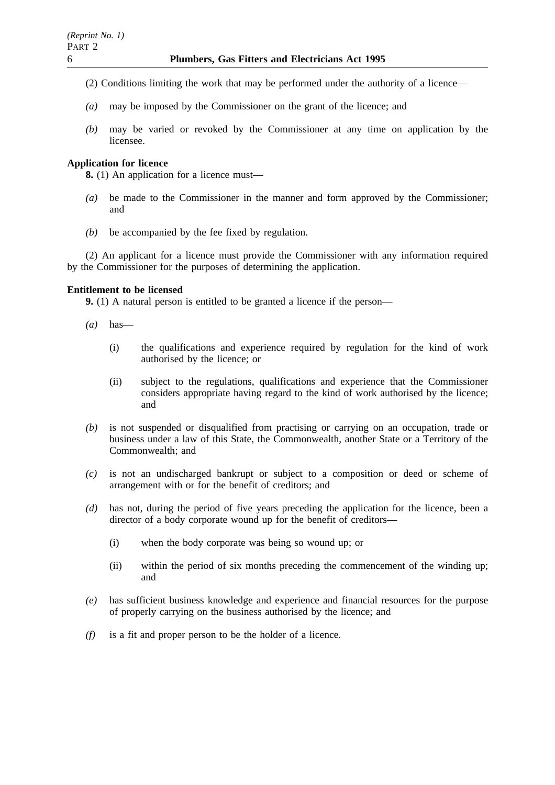- (2) Conditions limiting the work that may be performed under the authority of a licence—
- *(a)* may be imposed by the Commissioner on the grant of the licence; and
- *(b)* may be varied or revoked by the Commissioner at any time on application by the licensee.

## **Application for licence**

**8.** (1) An application for a licence must—

- *(a)* be made to the Commissioner in the manner and form approved by the Commissioner; and
- *(b)* be accompanied by the fee fixed by regulation.

(2) An applicant for a licence must provide the Commissioner with any information required by the Commissioner for the purposes of determining the application.

## **Entitlement to be licensed**

**9.** (1) A natural person is entitled to be granted a licence if the person—

- *(a)* has—
	- (i) the qualifications and experience required by regulation for the kind of work authorised by the licence; or
	- (ii) subject to the regulations, qualifications and experience that the Commissioner considers appropriate having regard to the kind of work authorised by the licence; and
- *(b)* is not suspended or disqualified from practising or carrying on an occupation, trade or business under a law of this State, the Commonwealth, another State or a Territory of the Commonwealth; and
- *(c)* is not an undischarged bankrupt or subject to a composition or deed or scheme of arrangement with or for the benefit of creditors; and
- *(d)* has not, during the period of five years preceding the application for the licence, been a director of a body corporate wound up for the benefit of creditors—
	- (i) when the body corporate was being so wound up; or
	- (ii) within the period of six months preceding the commencement of the winding up; and
- *(e)* has sufficient business knowledge and experience and financial resources for the purpose of properly carrying on the business authorised by the licence; and
- *(f)* is a fit and proper person to be the holder of a licence.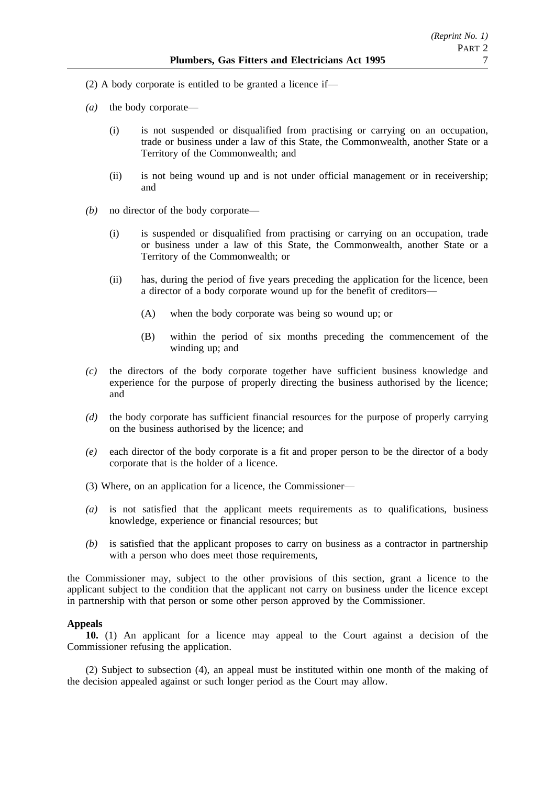- (2) A body corporate is entitled to be granted a licence if—
- *(a)* the body corporate—
	- (i) is not suspended or disqualified from practising or carrying on an occupation, trade or business under a law of this State, the Commonwealth, another State or a Territory of the Commonwealth; and
	- (ii) is not being wound up and is not under official management or in receivership; and
- *(b)* no director of the body corporate—
	- (i) is suspended or disqualified from practising or carrying on an occupation, trade or business under a law of this State, the Commonwealth, another State or a Territory of the Commonwealth; or
	- (ii) has, during the period of five years preceding the application for the licence, been a director of a body corporate wound up for the benefit of creditors—
		- (A) when the body corporate was being so wound up; or
		- (B) within the period of six months preceding the commencement of the winding up; and
- *(c)* the directors of the body corporate together have sufficient business knowledge and experience for the purpose of properly directing the business authorised by the licence; and
- *(d)* the body corporate has sufficient financial resources for the purpose of properly carrying on the business authorised by the licence; and
- *(e)* each director of the body corporate is a fit and proper person to be the director of a body corporate that is the holder of a licence.
- (3) Where, on an application for a licence, the Commissioner—
- *(a)* is not satisfied that the applicant meets requirements as to qualifications, business knowledge, experience or financial resources; but
- *(b)* is satisfied that the applicant proposes to carry on business as a contractor in partnership with a person who does meet those requirements,

the Commissioner may, subject to the other provisions of this section, grant a licence to the applicant subject to the condition that the applicant not carry on business under the licence except in partnership with that person or some other person approved by the Commissioner.

## **Appeals**

**10.** (1) An applicant for a licence may appeal to the Court against a decision of the Commissioner refusing the application.

(2) Subject to subsection (4), an appeal must be instituted within one month of the making of the decision appealed against or such longer period as the Court may allow.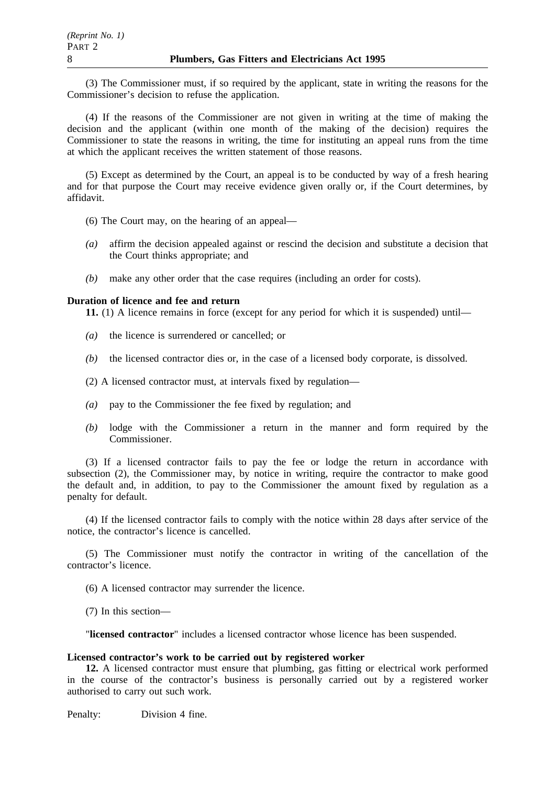(3) The Commissioner must, if so required by the applicant, state in writing the reasons for the Commissioner's decision to refuse the application.

(4) If the reasons of the Commissioner are not given in writing at the time of making the decision and the applicant (within one month of the making of the decision) requires the Commissioner to state the reasons in writing, the time for instituting an appeal runs from the time at which the applicant receives the written statement of those reasons.

(5) Except as determined by the Court, an appeal is to be conducted by way of a fresh hearing and for that purpose the Court may receive evidence given orally or, if the Court determines, by affidavit.

- (6) The Court may, on the hearing of an appeal—
- *(a)* affirm the decision appealed against or rescind the decision and substitute a decision that the Court thinks appropriate; and
- *(b)* make any other order that the case requires (including an order for costs).

#### **Duration of licence and fee and return**

**11.** (1) A licence remains in force (except for any period for which it is suspended) until—

- *(a)* the licence is surrendered or cancelled; or
- *(b)* the licensed contractor dies or, in the case of a licensed body corporate, is dissolved.
- (2) A licensed contractor must, at intervals fixed by regulation—
- *(a)* pay to the Commissioner the fee fixed by regulation; and
- *(b)* lodge with the Commissioner a return in the manner and form required by the Commissioner.

(3) If a licensed contractor fails to pay the fee or lodge the return in accordance with subsection (2), the Commissioner may, by notice in writing, require the contractor to make good the default and, in addition, to pay to the Commissioner the amount fixed by regulation as a penalty for default.

(4) If the licensed contractor fails to comply with the notice within 28 days after service of the notice, the contractor's licence is cancelled.

(5) The Commissioner must notify the contractor in writing of the cancellation of the contractor's licence.

(6) A licensed contractor may surrender the licence.

(7) In this section—

"**licensed contractor**" includes a licensed contractor whose licence has been suspended.

#### **Licensed contractor's work to be carried out by registered worker**

**12.** A licensed contractor must ensure that plumbing, gas fitting or electrical work performed in the course of the contractor's business is personally carried out by a registered worker authorised to carry out such work.

Penalty: Division 4 fine.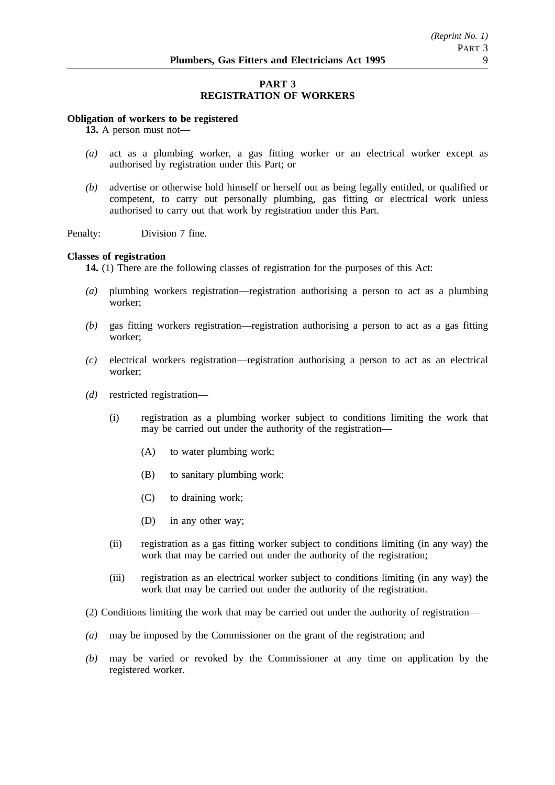## **PART 3 REGISTRATION OF WORKERS**

### **Obligation of workers to be registered**

**13.** A person must not—

- *(a)* act as a plumbing worker, a gas fitting worker or an electrical worker except as authorised by registration under this Part; or
- *(b)* advertise or otherwise hold himself or herself out as being legally entitled, or qualified or competent, to carry out personally plumbing, gas fitting or electrical work unless authorised to carry out that work by registration under this Part.

Penalty: Division 7 fine.

### **Classes of registration**

**14.** (1) There are the following classes of registration for the purposes of this Act:

- *(a)* plumbing workers registration—registration authorising a person to act as a plumbing worker;
- *(b)* gas fitting workers registration—registration authorising a person to act as a gas fitting worker;
- *(c)* electrical workers registration—registration authorising a person to act as an electrical worker;
- *(d)* restricted registration—
	- (i) registration as a plumbing worker subject to conditions limiting the work that may be carried out under the authority of the registration—
		- (A) to water plumbing work;
		- (B) to sanitary plumbing work;
		- (C) to draining work;
		- (D) in any other way;
	- (ii) registration as a gas fitting worker subject to conditions limiting (in any way) the work that may be carried out under the authority of the registration;
	- (iii) registration as an electrical worker subject to conditions limiting (in any way) the work that may be carried out under the authority of the registration.
- (2) Conditions limiting the work that may be carried out under the authority of registration—
- *(a)* may be imposed by the Commissioner on the grant of the registration; and
- *(b)* may be varied or revoked by the Commissioner at any time on application by the registered worker.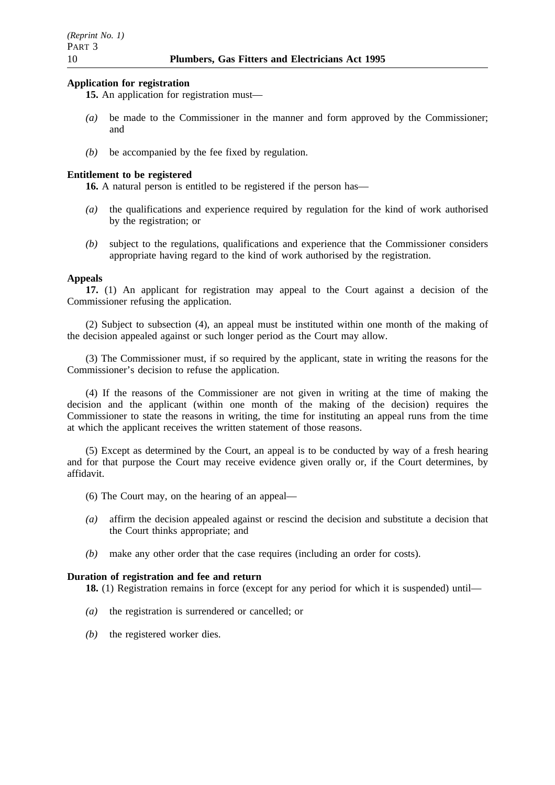#### **Application for registration**

- **15.** An application for registration must—
- *(a)* be made to the Commissioner in the manner and form approved by the Commissioner; and
- *(b)* be accompanied by the fee fixed by regulation.

### **Entitlement to be registered**

**16.** A natural person is entitled to be registered if the person has—

- *(a)* the qualifications and experience required by regulation for the kind of work authorised by the registration; or
- *(b)* subject to the regulations, qualifications and experience that the Commissioner considers appropriate having regard to the kind of work authorised by the registration.

### **Appeals**

**17.** (1) An applicant for registration may appeal to the Court against a decision of the Commissioner refusing the application.

(2) Subject to subsection (4), an appeal must be instituted within one month of the making of the decision appealed against or such longer period as the Court may allow.

(3) The Commissioner must, if so required by the applicant, state in writing the reasons for the Commissioner's decision to refuse the application.

(4) If the reasons of the Commissioner are not given in writing at the time of making the decision and the applicant (within one month of the making of the decision) requires the Commissioner to state the reasons in writing, the time for instituting an appeal runs from the time at which the applicant receives the written statement of those reasons.

(5) Except as determined by the Court, an appeal is to be conducted by way of a fresh hearing and for that purpose the Court may receive evidence given orally or, if the Court determines, by affidavit.

(6) The Court may, on the hearing of an appeal—

- *(a)* affirm the decision appealed against or rescind the decision and substitute a decision that the Court thinks appropriate; and
- *(b)* make any other order that the case requires (including an order for costs).

### **Duration of registration and fee and return**

**18.** (1) Registration remains in force (except for any period for which it is suspended) until—

- *(a)* the registration is surrendered or cancelled; or
- *(b)* the registered worker dies.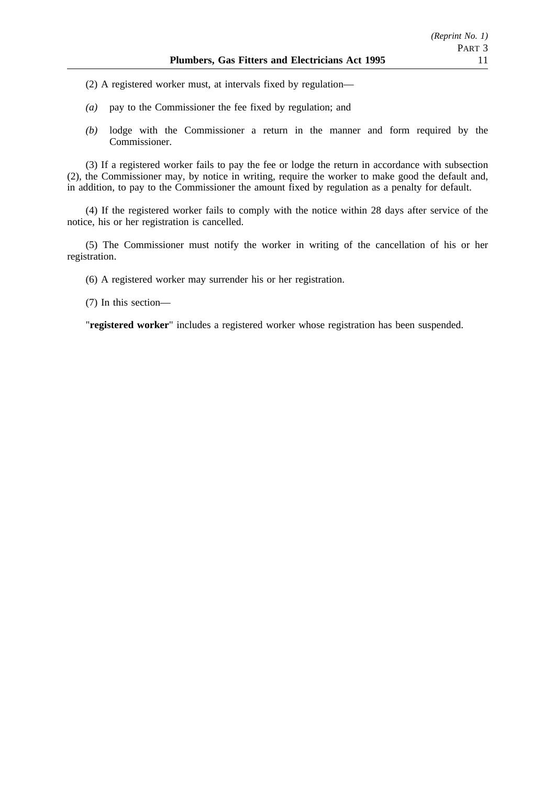- (2) A registered worker must, at intervals fixed by regulation—
- *(a)* pay to the Commissioner the fee fixed by regulation; and
- *(b)* lodge with the Commissioner a return in the manner and form required by the Commissioner.

(3) If a registered worker fails to pay the fee or lodge the return in accordance with subsection (2), the Commissioner may, by notice in writing, require the worker to make good the default and, in addition, to pay to the Commissioner the amount fixed by regulation as a penalty for default.

(4) If the registered worker fails to comply with the notice within 28 days after service of the notice, his or her registration is cancelled.

(5) The Commissioner must notify the worker in writing of the cancellation of his or her registration.

(6) A registered worker may surrender his or her registration.

(7) In this section—

"**registered worker**" includes a registered worker whose registration has been suspended.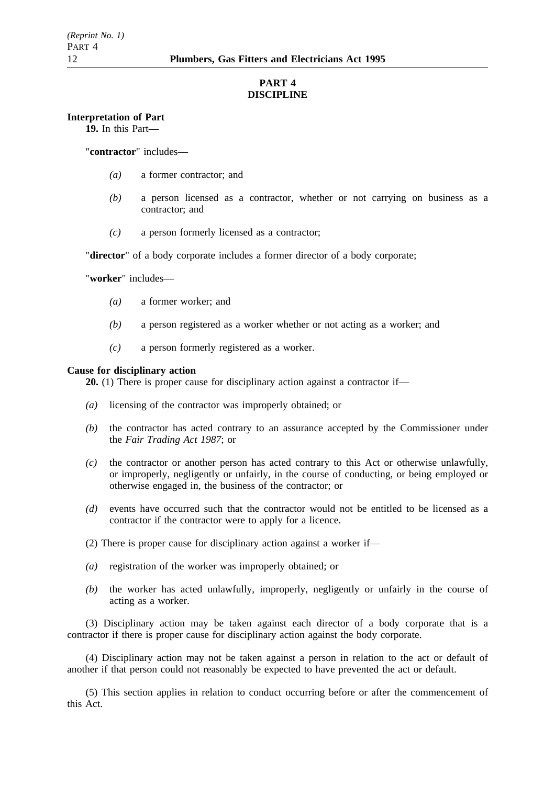## **PART 4 DISCIPLINE**

#### **Interpretation of Part**

**19.** In this Part—

"**contractor**" includes—

- *(a)* a former contractor; and
- *(b)* a person licensed as a contractor, whether or not carrying on business as a contractor; and
- *(c)* a person formerly licensed as a contractor;

"**director**" of a body corporate includes a former director of a body corporate;

"**worker**" includes—

- *(a)* a former worker; and
- *(b)* a person registered as a worker whether or not acting as a worker; and
- *(c)* a person formerly registered as a worker.

#### **Cause for disciplinary action**

**20.** (1) There is proper cause for disciplinary action against a contractor if—

- *(a)* licensing of the contractor was improperly obtained; or
- *(b)* the contractor has acted contrary to an assurance accepted by the Commissioner under the *Fair Trading Act 1987*; or
- *(c)* the contractor or another person has acted contrary to this Act or otherwise unlawfully, or improperly, negligently or unfairly, in the course of conducting, or being employed or otherwise engaged in, the business of the contractor; or
- *(d)* events have occurred such that the contractor would not be entitled to be licensed as a contractor if the contractor were to apply for a licence.
- (2) There is proper cause for disciplinary action against a worker if—
- *(a)* registration of the worker was improperly obtained; or
- *(b)* the worker has acted unlawfully, improperly, negligently or unfairly in the course of acting as a worker.

(3) Disciplinary action may be taken against each director of a body corporate that is a contractor if there is proper cause for disciplinary action against the body corporate.

(4) Disciplinary action may not be taken against a person in relation to the act or default of another if that person could not reasonably be expected to have prevented the act or default.

(5) This section applies in relation to conduct occurring before or after the commencement of this Act.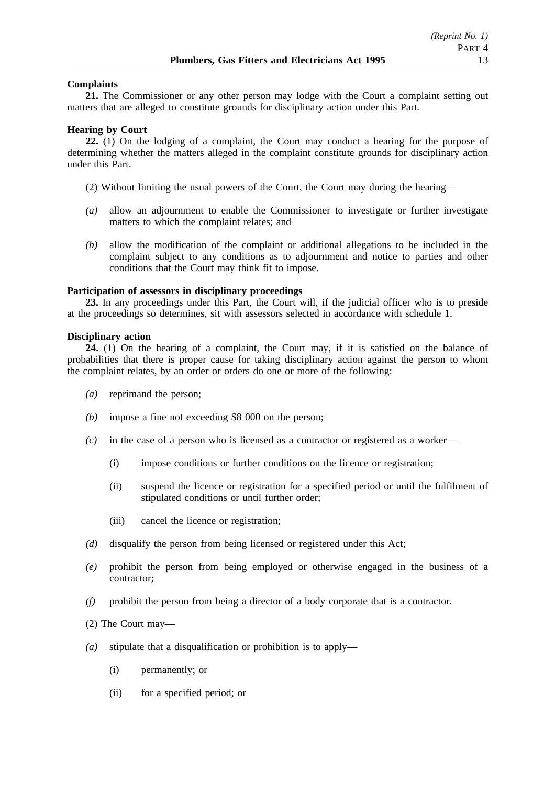### **Complaints**

**21.** The Commissioner or any other person may lodge with the Court a complaint setting out matters that are alleged to constitute grounds for disciplinary action under this Part.

#### **Hearing by Court**

**22.** (1) On the lodging of a complaint, the Court may conduct a hearing for the purpose of determining whether the matters alleged in the complaint constitute grounds for disciplinary action under this Part.

- (2) Without limiting the usual powers of the Court, the Court may during the hearing—
- *(a)* allow an adjournment to enable the Commissioner to investigate or further investigate matters to which the complaint relates; and
- *(b)* allow the modification of the complaint or additional allegations to be included in the complaint subject to any conditions as to adjournment and notice to parties and other conditions that the Court may think fit to impose.

### **Participation of assessors in disciplinary proceedings**

**23.** In any proceedings under this Part, the Court will, if the judicial officer who is to preside at the proceedings so determines, sit with assessors selected in accordance with schedule 1.

### **Disciplinary action**

**24.** (1) On the hearing of a complaint, the Court may, if it is satisfied on the balance of probabilities that there is proper cause for taking disciplinary action against the person to whom the complaint relates, by an order or orders do one or more of the following:

- *(a)* reprimand the person;
- *(b)* impose a fine not exceeding \$8 000 on the person;
- *(c)* in the case of a person who is licensed as a contractor or registered as a worker—
	- (i) impose conditions or further conditions on the licence or registration;
	- (ii) suspend the licence or registration for a specified period or until the fulfilment of stipulated conditions or until further order;
	- (iii) cancel the licence or registration;
- *(d)* disqualify the person from being licensed or registered under this Act;
- *(e)* prohibit the person from being employed or otherwise engaged in the business of a contractor;
- *(f)* prohibit the person from being a director of a body corporate that is a contractor.
- (2) The Court may—
- *(a)* stipulate that a disqualification or prohibition is to apply—
	- (i) permanently; or
	- (ii) for a specified period; or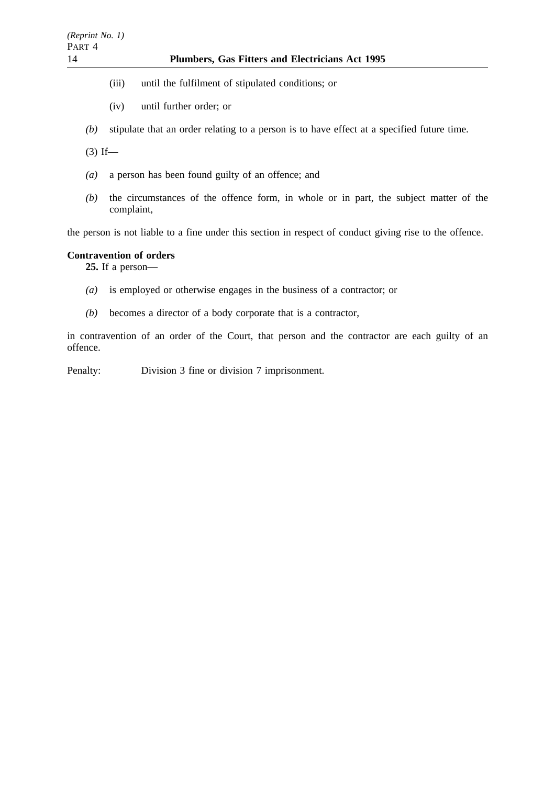## 14 **Plumbers, Gas Fitters and Electricians Act 1995**

- (iii) until the fulfilment of stipulated conditions; or
- (iv) until further order; or
- *(b)* stipulate that an order relating to a person is to have effect at a specified future time.

 $(3)$  If—

- *(a)* a person has been found guilty of an offence; and
- *(b)* the circumstances of the offence form, in whole or in part, the subject matter of the complaint,

the person is not liable to a fine under this section in respect of conduct giving rise to the offence.

### **Contravention of orders**

**25.** If a person—

- *(a)* is employed or otherwise engages in the business of a contractor; or
- *(b)* becomes a director of a body corporate that is a contractor,

in contravention of an order of the Court, that person and the contractor are each guilty of an offence.

Penalty: Division 3 fine or division 7 imprisonment.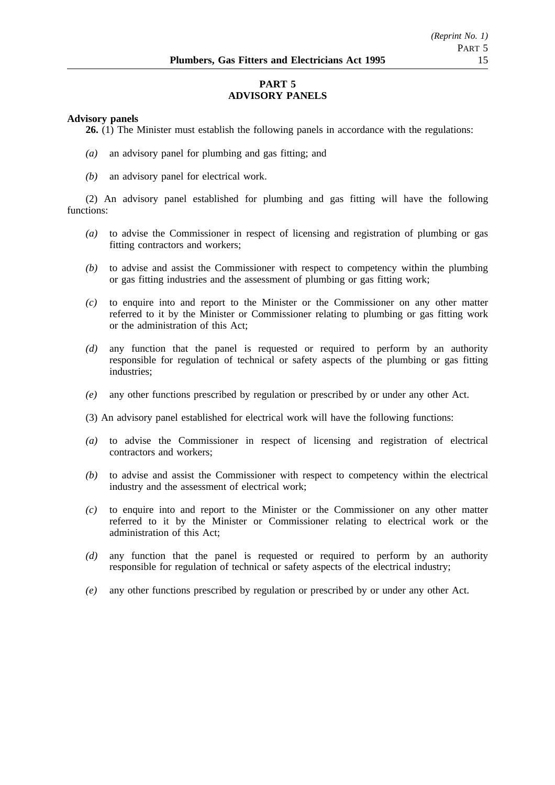## **PART 5 ADVISORY PANELS**

#### **Advisory panels**

**26.** (1) The Minister must establish the following panels in accordance with the regulations:

- *(a)* an advisory panel for plumbing and gas fitting; and
- *(b)* an advisory panel for electrical work.

(2) An advisory panel established for plumbing and gas fitting will have the following functions:

- *(a)* to advise the Commissioner in respect of licensing and registration of plumbing or gas fitting contractors and workers;
- *(b)* to advise and assist the Commissioner with respect to competency within the plumbing or gas fitting industries and the assessment of plumbing or gas fitting work;
- *(c)* to enquire into and report to the Minister or the Commissioner on any other matter referred to it by the Minister or Commissioner relating to plumbing or gas fitting work or the administration of this Act;
- *(d)* any function that the panel is requested or required to perform by an authority responsible for regulation of technical or safety aspects of the plumbing or gas fitting industries;
- *(e)* any other functions prescribed by regulation or prescribed by or under any other Act.
- (3) An advisory panel established for electrical work will have the following functions:
- *(a)* to advise the Commissioner in respect of licensing and registration of electrical contractors and workers;
- *(b)* to advise and assist the Commissioner with respect to competency within the electrical industry and the assessment of electrical work;
- *(c)* to enquire into and report to the Minister or the Commissioner on any other matter referred to it by the Minister or Commissioner relating to electrical work or the administration of this Act;
- *(d)* any function that the panel is requested or required to perform by an authority responsible for regulation of technical or safety aspects of the electrical industry;
- *(e)* any other functions prescribed by regulation or prescribed by or under any other Act.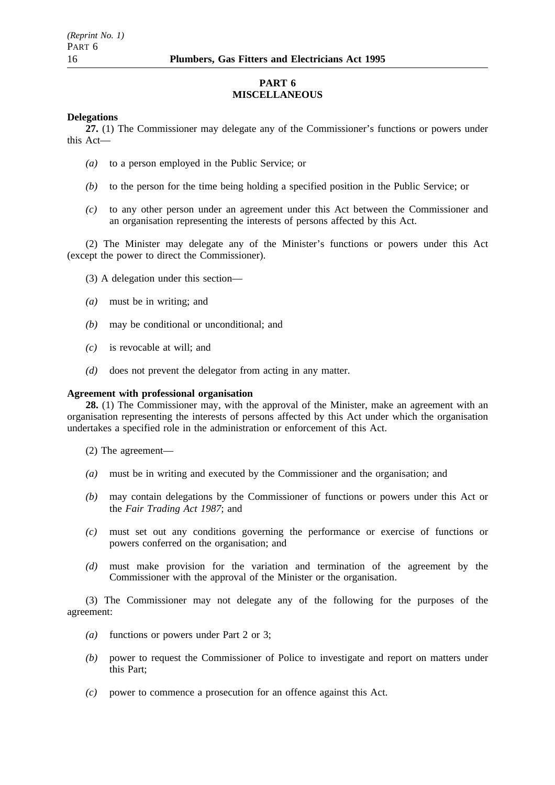### **PART 6 MISCELLANEOUS**

#### **Delegations**

**27.** (1) The Commissioner may delegate any of the Commissioner's functions or powers under this Act—

- *(a)* to a person employed in the Public Service; or
- *(b)* to the person for the time being holding a specified position in the Public Service; or
- *(c)* to any other person under an agreement under this Act between the Commissioner and an organisation representing the interests of persons affected by this Act.

(2) The Minister may delegate any of the Minister's functions or powers under this Act (except the power to direct the Commissioner).

- (3) A delegation under this section—
- *(a)* must be in writing; and
- *(b)* may be conditional or unconditional; and
- *(c)* is revocable at will; and
- *(d)* does not prevent the delegator from acting in any matter.

### **Agreement with professional organisation**

**28.** (1) The Commissioner may, with the approval of the Minister, make an agreement with an organisation representing the interests of persons affected by this Act under which the organisation undertakes a specified role in the administration or enforcement of this Act.

- (2) The agreement—
- *(a)* must be in writing and executed by the Commissioner and the organisation; and
- *(b)* may contain delegations by the Commissioner of functions or powers under this Act or the *Fair Trading Act 1987*; and
- *(c)* must set out any conditions governing the performance or exercise of functions or powers conferred on the organisation; and
- *(d)* must make provision for the variation and termination of the agreement by the Commissioner with the approval of the Minister or the organisation.

(3) The Commissioner may not delegate any of the following for the purposes of the agreement:

- *(a)* functions or powers under Part 2 or 3;
- *(b)* power to request the Commissioner of Police to investigate and report on matters under this Part;
- *(c)* power to commence a prosecution for an offence against this Act.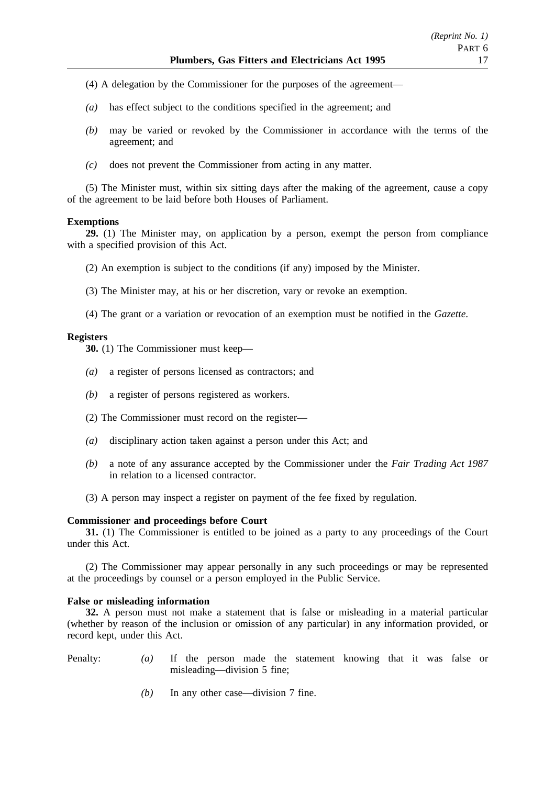- (4) A delegation by the Commissioner for the purposes of the agreement—
- *(a)* has effect subject to the conditions specified in the agreement; and
- *(b)* may be varied or revoked by the Commissioner in accordance with the terms of the agreement; and
- *(c)* does not prevent the Commissioner from acting in any matter.

(5) The Minister must, within six sitting days after the making of the agreement, cause a copy of the agreement to be laid before both Houses of Parliament.

### **Exemptions**

**29.** (1) The Minister may, on application by a person, exempt the person from compliance with a specified provision of this Act.

- (2) An exemption is subject to the conditions (if any) imposed by the Minister.
- (3) The Minister may, at his or her discretion, vary or revoke an exemption.
- (4) The grant or a variation or revocation of an exemption must be notified in the *Gazette*.

### **Registers**

**30.** (1) The Commissioner must keep—

- *(a)* a register of persons licensed as contractors; and
- *(b)* a register of persons registered as workers.
- (2) The Commissioner must record on the register—
- *(a)* disciplinary action taken against a person under this Act; and
- *(b)* a note of any assurance accepted by the Commissioner under the *Fair Trading Act 1987* in relation to a licensed contractor.
- (3) A person may inspect a register on payment of the fee fixed by regulation.

#### **Commissioner and proceedings before Court**

**31.** (1) The Commissioner is entitled to be joined as a party to any proceedings of the Court under this Act.

(2) The Commissioner may appear personally in any such proceedings or may be represented at the proceedings by counsel or a person employed in the Public Service.

#### **False or misleading information**

**32.** A person must not make a statement that is false or misleading in a material particular (whether by reason of the inclusion or omission of any particular) in any information provided, or record kept, under this Act.

- Penalty: *(a)* If the person made the statement knowing that it was false or misleading—division 5 fine;
	- *(b)* In any other case—division 7 fine.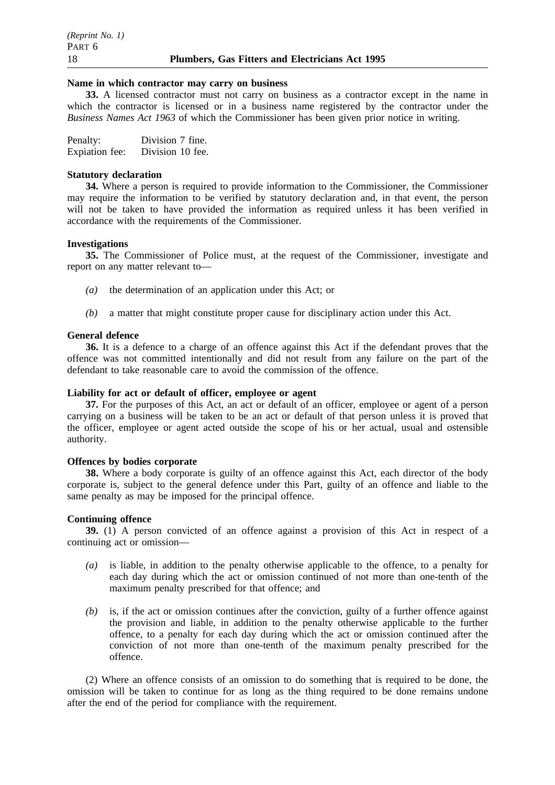#### **Name in which contractor may carry on business**

**33.** A licensed contractor must not carry on business as a contractor except in the name in which the contractor is licensed or in a business name registered by the contractor under the *Business Names Act 1963* of which the Commissioner has been given prior notice in writing.

| Penalty:       | Division 7 fine. |
|----------------|------------------|
| Expiation fee: | Division 10 fee. |

#### **Statutory declaration**

**34.** Where a person is required to provide information to the Commissioner, the Commissioner may require the information to be verified by statutory declaration and, in that event, the person will not be taken to have provided the information as required unless it has been verified in accordance with the requirements of the Commissioner.

#### **Investigations**

**35.** The Commissioner of Police must, at the request of the Commissioner, investigate and report on any matter relevant to—

- *(a)* the determination of an application under this Act; or
- *(b)* a matter that might constitute proper cause for disciplinary action under this Act.

#### **General defence**

**36.** It is a defence to a charge of an offence against this Act if the defendant proves that the offence was not committed intentionally and did not result from any failure on the part of the defendant to take reasonable care to avoid the commission of the offence.

## **Liability for act or default of officer, employee or agent**

**37.** For the purposes of this Act, an act or default of an officer, employee or agent of a person carrying on a business will be taken to be an act or default of that person unless it is proved that the officer, employee or agent acted outside the scope of his or her actual, usual and ostensible authority.

#### **Offences by bodies corporate**

**38.** Where a body corporate is guilty of an offence against this Act, each director of the body corporate is, subject to the general defence under this Part, guilty of an offence and liable to the same penalty as may be imposed for the principal offence.

### **Continuing offence**

**39.** (1) A person convicted of an offence against a provision of this Act in respect of a continuing act or omission—

- *(a)* is liable, in addition to the penalty otherwise applicable to the offence, to a penalty for each day during which the act or omission continued of not more than one-tenth of the maximum penalty prescribed for that offence; and
- *(b)* is, if the act or omission continues after the conviction, guilty of a further offence against the provision and liable, in addition to the penalty otherwise applicable to the further offence, to a penalty for each day during which the act or omission continued after the conviction of not more than one-tenth of the maximum penalty prescribed for the offence.

(2) Where an offence consists of an omission to do something that is required to be done, the omission will be taken to continue for as long as the thing required to be done remains undone after the end of the period for compliance with the requirement.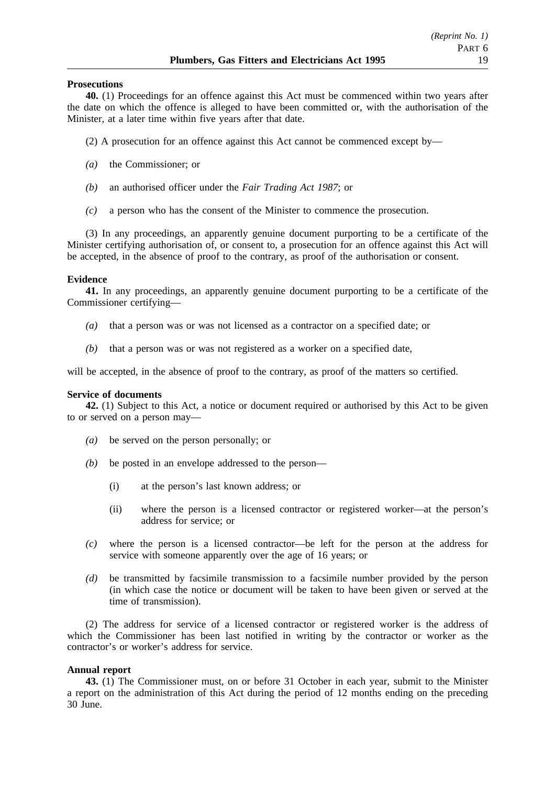#### **Prosecutions**

**40.** (1) Proceedings for an offence against this Act must be commenced within two years after the date on which the offence is alleged to have been committed or, with the authorisation of the Minister, at a later time within five years after that date.

- (2) A prosecution for an offence against this Act cannot be commenced except by—
- *(a)* the Commissioner; or
- *(b)* an authorised officer under the *Fair Trading Act 1987*; or
- *(c)* a person who has the consent of the Minister to commence the prosecution.

(3) In any proceedings, an apparently genuine document purporting to be a certificate of the Minister certifying authorisation of, or consent to, a prosecution for an offence against this Act will be accepted, in the absence of proof to the contrary, as proof of the authorisation or consent.

### **Evidence**

**41.** In any proceedings, an apparently genuine document purporting to be a certificate of the Commissioner certifying—

- *(a)* that a person was or was not licensed as a contractor on a specified date; or
- *(b)* that a person was or was not registered as a worker on a specified date,

will be accepted, in the absence of proof to the contrary, as proof of the matters so certified.

#### **Service of documents**

**42.** (1) Subject to this Act, a notice or document required or authorised by this Act to be given to or served on a person may—

- *(a)* be served on the person personally; or
- *(b)* be posted in an envelope addressed to the person—
	- (i) at the person's last known address; or
	- (ii) where the person is a licensed contractor or registered worker—at the person's address for service; or
- *(c)* where the person is a licensed contractor—be left for the person at the address for service with someone apparently over the age of 16 years; or
- *(d)* be transmitted by facsimile transmission to a facsimile number provided by the person (in which case the notice or document will be taken to have been given or served at the time of transmission).

(2) The address for service of a licensed contractor or registered worker is the address of which the Commissioner has been last notified in writing by the contractor or worker as the contractor's or worker's address for service.

## **Annual report**

**43.** (1) The Commissioner must, on or before 31 October in each year, submit to the Minister a report on the administration of this Act during the period of 12 months ending on the preceding 30 June.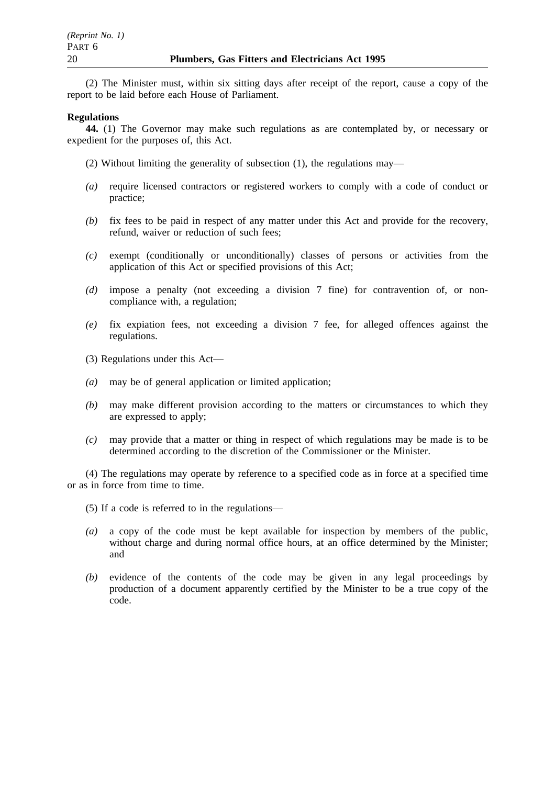(2) The Minister must, within six sitting days after receipt of the report, cause a copy of the report to be laid before each House of Parliament.

#### **Regulations**

**44.** (1) The Governor may make such regulations as are contemplated by, or necessary or expedient for the purposes of, this Act.

- (2) Without limiting the generality of subsection (1), the regulations may—
- *(a)* require licensed contractors or registered workers to comply with a code of conduct or practice;
- *(b)* fix fees to be paid in respect of any matter under this Act and provide for the recovery, refund, waiver or reduction of such fees;
- *(c)* exempt (conditionally or unconditionally) classes of persons or activities from the application of this Act or specified provisions of this Act;
- *(d)* impose a penalty (not exceeding a division 7 fine) for contravention of, or noncompliance with, a regulation;
- *(e)* fix expiation fees, not exceeding a division 7 fee, for alleged offences against the regulations.
- (3) Regulations under this Act—
- *(a)* may be of general application or limited application;
- *(b)* may make different provision according to the matters or circumstances to which they are expressed to apply;
- *(c)* may provide that a matter or thing in respect of which regulations may be made is to be determined according to the discretion of the Commissioner or the Minister.

(4) The regulations may operate by reference to a specified code as in force at a specified time or as in force from time to time.

- (5) If a code is referred to in the regulations—
- *(a)* a copy of the code must be kept available for inspection by members of the public, without charge and during normal office hours, at an office determined by the Minister; and
- *(b)* evidence of the contents of the code may be given in any legal proceedings by production of a document apparently certified by the Minister to be a true copy of the code.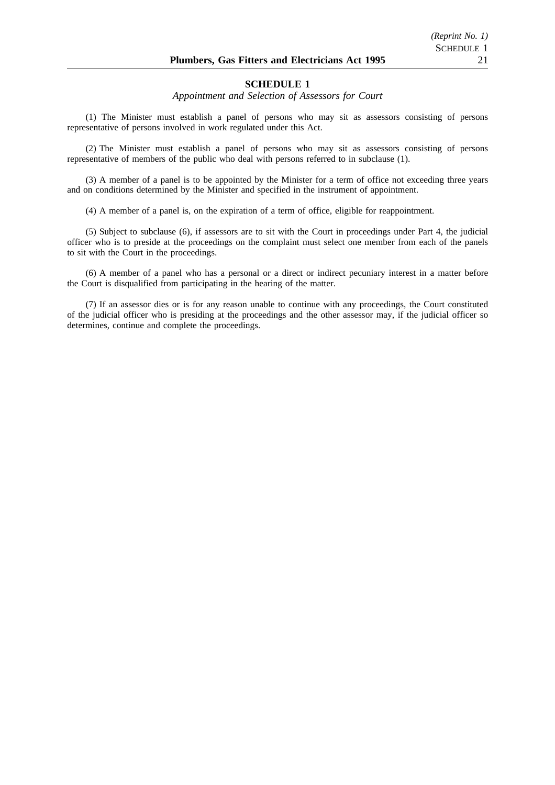#### **SCHEDULE 1**

#### *Appointment and Selection of Assessors for Court*

(1) The Minister must establish a panel of persons who may sit as assessors consisting of persons representative of persons involved in work regulated under this Act.

(2) The Minister must establish a panel of persons who may sit as assessors consisting of persons representative of members of the public who deal with persons referred to in subclause (1).

(3) A member of a panel is to be appointed by the Minister for a term of office not exceeding three years and on conditions determined by the Minister and specified in the instrument of appointment.

(4) A member of a panel is, on the expiration of a term of office, eligible for reappointment.

(5) Subject to subclause (6), if assessors are to sit with the Court in proceedings under Part 4, the judicial officer who is to preside at the proceedings on the complaint must select one member from each of the panels to sit with the Court in the proceedings.

(6) A member of a panel who has a personal or a direct or indirect pecuniary interest in a matter before the Court is disqualified from participating in the hearing of the matter.

(7) If an assessor dies or is for any reason unable to continue with any proceedings, the Court constituted of the judicial officer who is presiding at the proceedings and the other assessor may, if the judicial officer so determines, continue and complete the proceedings.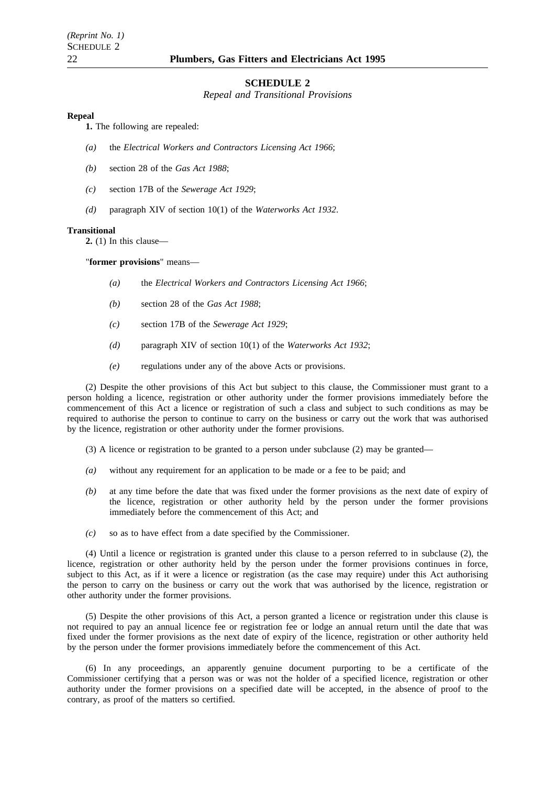#### **SCHEDULE 2**

*Repeal and Transitional Provisions*

#### **Repeal**

**1.** The following are repealed:

- *(a)* the *Electrical Workers and Contractors Licensing Act 1966*;
- *(b)* section 28 of the *Gas Act 1988*;
- *(c)* section 17B of the *Sewerage Act 1929*;
- *(d)* paragraph XIV of section 10(1) of the *Waterworks Act 1932*.

#### **Transitional**

**2.** (1) In this clause—

"**former provisions**" means—

- *(a)* the *Electrical Workers and Contractors Licensing Act 1966*;
- *(b)* section 28 of the *Gas Act 1988*;
- *(c)* section 17B of the *Sewerage Act 1929*;
- *(d)* paragraph XIV of section 10(1) of the *Waterworks Act 1932*;
- *(e)* regulations under any of the above Acts or provisions.

(2) Despite the other provisions of this Act but subject to this clause, the Commissioner must grant to a person holding a licence, registration or other authority under the former provisions immediately before the commencement of this Act a licence or registration of such a class and subject to such conditions as may be required to authorise the person to continue to carry on the business or carry out the work that was authorised by the licence, registration or other authority under the former provisions.

- $(3)$  A licence or registration to be granted to a person under subclause  $(2)$  may be granted—
- *(a)* without any requirement for an application to be made or a fee to be paid; and
- *(b)* at any time before the date that was fixed under the former provisions as the next date of expiry of the licence, registration or other authority held by the person under the former provisions immediately before the commencement of this Act; and
- *(c)* so as to have effect from a date specified by the Commissioner.

(4) Until a licence or registration is granted under this clause to a person referred to in subclause (2), the licence, registration or other authority held by the person under the former provisions continues in force, subject to this Act, as if it were a licence or registration (as the case may require) under this Act authorising the person to carry on the business or carry out the work that was authorised by the licence, registration or other authority under the former provisions.

(5) Despite the other provisions of this Act, a person granted a licence or registration under this clause is not required to pay an annual licence fee or registration fee or lodge an annual return until the date that was fixed under the former provisions as the next date of expiry of the licence, registration or other authority held by the person under the former provisions immediately before the commencement of this Act.

(6) In any proceedings, an apparently genuine document purporting to be a certificate of the Commissioner certifying that a person was or was not the holder of a specified licence, registration or other authority under the former provisions on a specified date will be accepted, in the absence of proof to the contrary, as proof of the matters so certified.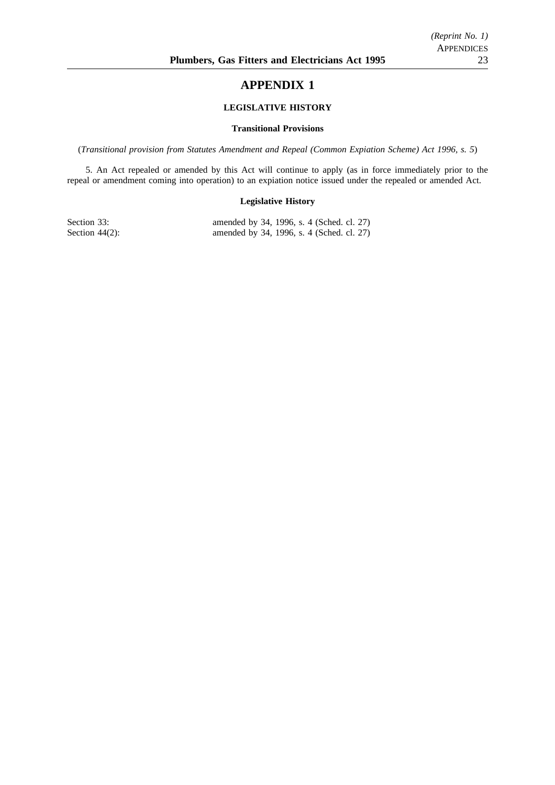## **APPENDIX 1**

#### **LEGISLATIVE HISTORY**

#### **Transitional Provisions**

(*Transitional provision from Statutes Amendment and Repeal (Common Expiation Scheme) Act 1996, s. 5*)

5. An Act repealed or amended by this Act will continue to apply (as in force immediately prior to the repeal or amendment coming into operation) to an expiation notice issued under the repealed or amended Act.

#### **Legislative History**

Section 33: amended by 34, 1996, s. 4 (Sched. cl. 27)<br>Section 44(2): amended by 34, 1996, s. 4 (Sched. cl. 27) amended by 34, 1996, s. 4 (Sched. cl. 27)